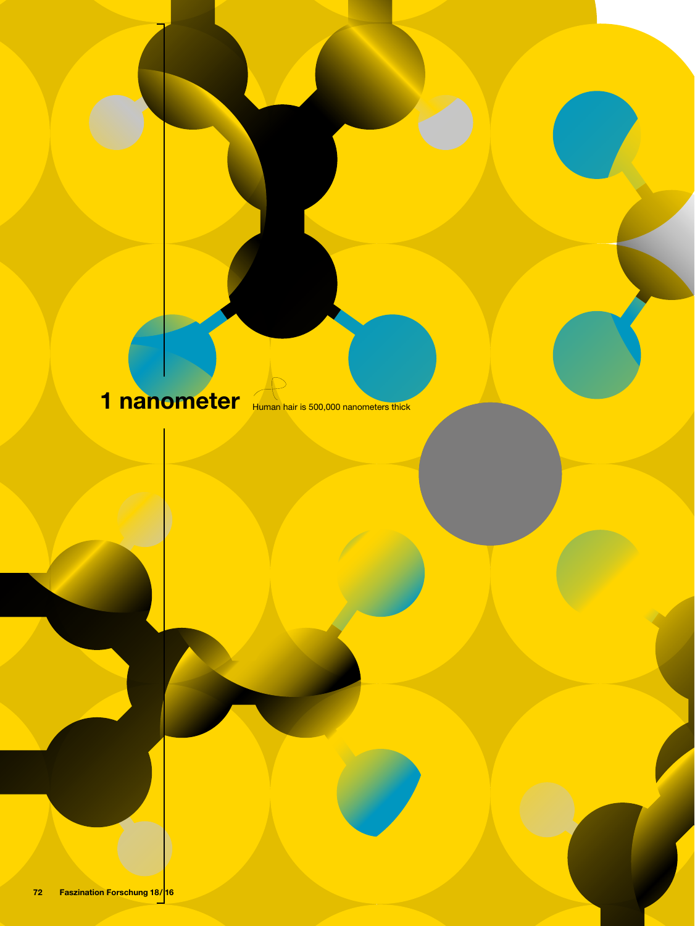# 1 nanometer Human hair is 500,000 nanometers thick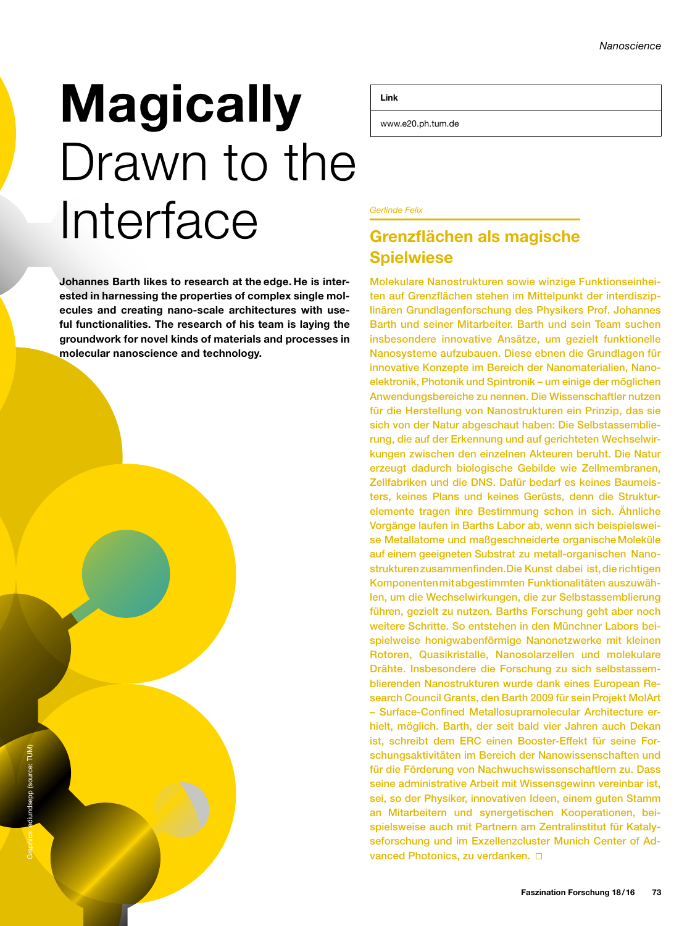# **Magically** Drawn to the Interface

Johannes Barth likes to research at the edge. He is interested in harnessing the properties of complex single molecules and creating nano-scale architectures with useful functionalities. The research of his team is laying the groundwork for novel kinds of materials and processes in molecular nanoscience and technology.

Link

www.e20.ph.tum.de

#### *Gerlinde Felix*

## Grenzflächen als magische **Spielwiese**

Molekulare Nanostrukturen sowie winzige Funktionseinheiten auf Grenzflächen stehen im Mittelpunkt der interdisziplinären Grundlagenforschung des Physikers Prof. Johannes Barth und seiner Mitarbeiter. Barth und sein Team suchen insbesondere innovative Ansätze, um gezielt funktionelle Nanosysteme aufzubauen. Diese ebnen die Grundlagen für innovative Konzepte im Bereich der Nanomaterialien, Nanoelektronik, Photonik und Spintronik – um einige der möglichen Anwendungsbereiche zu nennen. Die Wissenschaftler nutzen für die Herstellung von Nanostrukturen ein Prinzip, das sie sich von der Natur abgeschaut haben: Die Selbstassemblierung, die auf der Erkennung und auf gerichteten Wechselwirkungen zwischen den einzelnen Akteuren beruht. Die Natur erzeugt dadurch biologische Gebilde wie Zellmembranen, Zellfabriken und die DNS. Dafür bedarf es keines Baumeisters, keines Plans und keines Gerüsts, denn die Strukturelemente tragen ihre Bestimmung schon in sich. Ähnliche Vorgänge laufen in Barths Labor ab, wenn sich beispielsweise Metallatome und maßgeschneiderte organische Moleküle auf einem geeigneten Substrat zu metall-organischen Nanostrukturen zusammenfinden. Die Kunst dabei ist, die richtigen Komponenten mit abgestimmten Funktionalitäten auszuwählen, um die Wechselwirkungen, die zur Selbstassemblierung führen, gezielt zu nutzen. Barths Forschung geht aber noch weitere Schritte. So entstehen in den Münchner Labors beispielweise honigwabenförmige Nanonetzwerke mit kleinen Rotoren, Quasikristalle, Nanosolarzellen und molekulare Drähte. Insbesondere die Forschung zu sich selbstassemblierenden Nanostrukturen wurde dank eines European Research Council Grants, den Barth 2009 für sein Projekt MolArt – Surface-Confined Metallosupramolecular Architecture erhielt, möglich. Barth, der seit bald vier Jahren auch Dekan ist, schreibt dem ERC einen Booster-Effekt für seine Forschungsaktivitäten im Bereich der Nanowissenschaften und für die Förderung von Nachwuchswissenschaftlern zu. Dass seine administrative Arbeit mit Wissensgewinn vereinbar ist, sei, so der Physiker, innovativen Ideen, einem guten Stamm an Mitarbeitern und synergetischen Kooperationen, beispielsweise auch mit Partnern am Zentralinstitut für Katalyseforschung und im Exzellenzcluster Munich Center of Advanced Photonics, zu verdanken.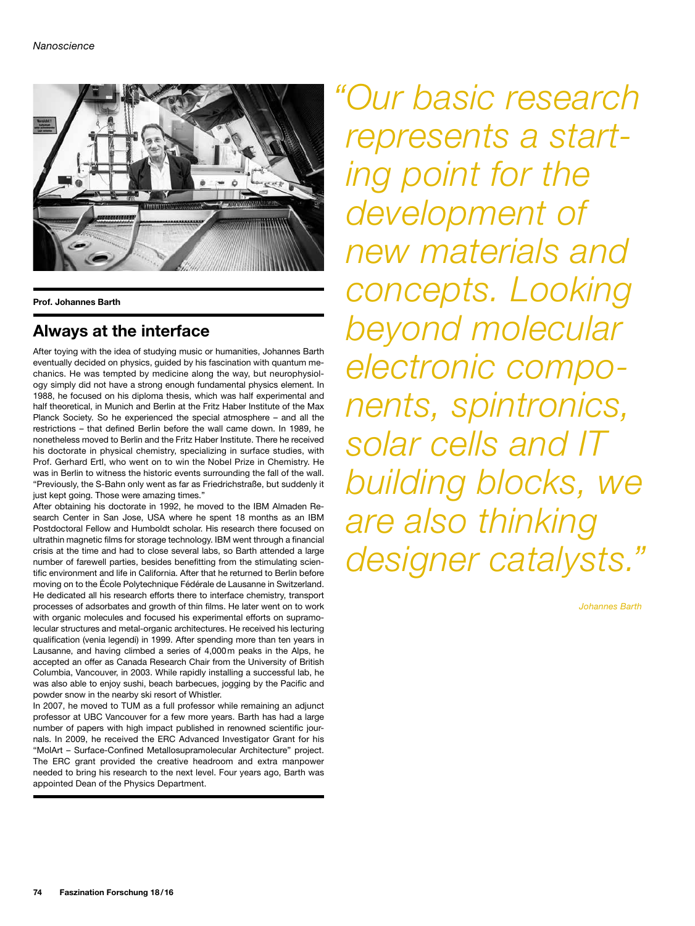

Prof. Johannes Barth

### Always at the interface

After toying with the idea of studying music or humanities, Johannes Barth eventually decided on physics, guided by his fascination with quantum mechanics. He was tempted by medicine along the way, but neurophysiology simply did not have a strong enough fundamental physics element. In 1988, he focused on his diploma thesis, which was half experimental and half theoretical, in Munich and Berlin at the Fritz Haber Institute of the Max Planck Society. So he experienced the special atmosphere – and all the restrictions – that defined Berlin before the wall came down. In 1989, he nonetheless moved to Berlin and the Fritz Haber Institute. There he received his doctorate in physical chemistry, specializing in surface studies, with Prof. Gerhard Ertl, who went on to win the Nobel Prize in Chemistry. He was in Berlin to witness the historic events surrounding the fall of the wall. "Previously, the S-Bahn only went as far as Friedrichstraße, but suddenly it just kept going. Those were amazing times."

After obtaining his doctorate in 1992, he moved to the IBM Almaden Research Center in San Jose, USA where he spent 18 months as an IBM Postdoctoral Fellow and Humboldt scholar. His research there focused on ultrathin magnetic films for storage technology. IBM went through a financial crisis at the time and had to close several labs, so Barth attended a large number of farewell parties, besides benefitting from the stimulating scientific environment and life in California. After that he returned to Berlin before moving on to the École Polytechnique Fédérale de Lausanne in Switzerland. He dedicated all his research efforts there to interface chemistry, transport processes of adsorbates and growth of thin films. He later went on to work with organic molecules and focused his experimental efforts on supramolecular structures and metal-organic architectures. He received his lecturing qualification (venia legendi) in 1999. After spending more than ten years in Lausanne, and having climbed a series of 4,000m peaks in the Alps, he accepted an offer as Canada Research Chair from the University of British Columbia, Vancouver, in 2003. While rapidly installing a successful lab, he was also able to enjoy sushi, beach barbecues, jogging by the Pacific and powder snow in the nearby ski resort of Whistler.

In 2007, he moved to TUM as a full professor while remaining an adjunct professor at UBC Vancouver for a few more years. Barth has had a large number of papers with high impact published in renowned scientific journals. In 2009, he received the ERC Advanced Investigator Grant for his "MolArt – Surface-Confined Metallosupramolecular Architecture" project. The ERC grant provided the creative headroom and extra manpower needed to bring his research to the next level. Four years ago, Barth was appointed Dean of the Physics Department.

*"Our basic research represents a starting point for the development of new materials and concepts. Looking beyond molecular electronic components, spintronics, solar cells and IT building blocks, we are also thinking designer catalysts."*

*Johannes Barth*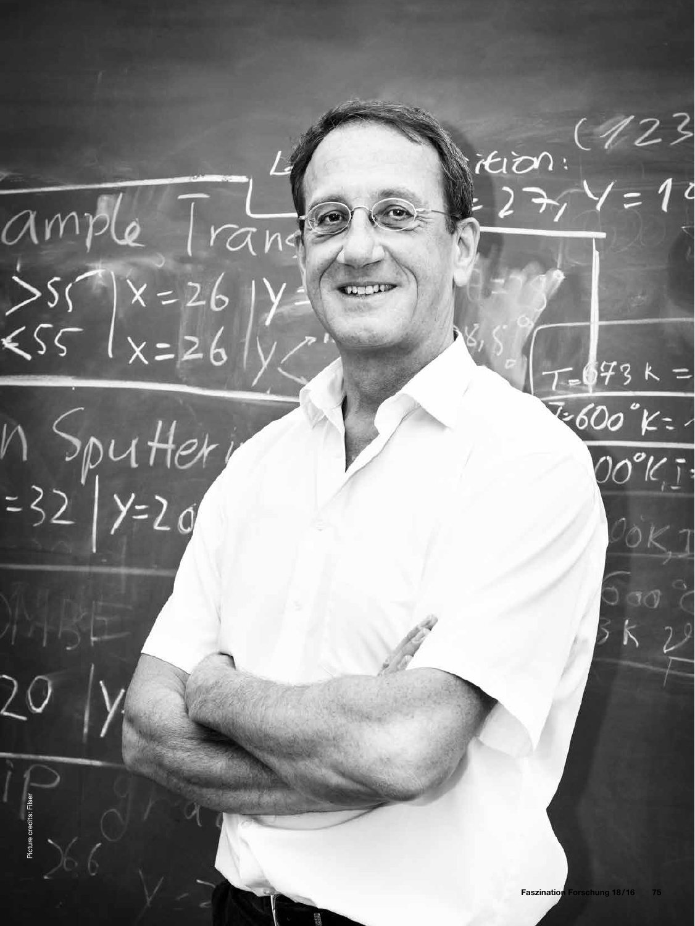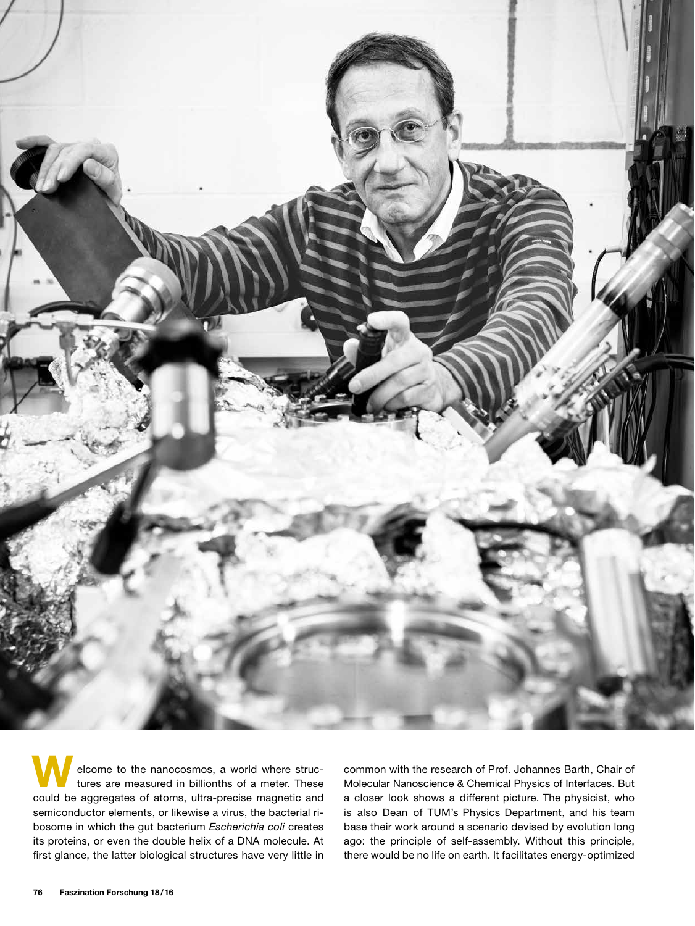

elcome to the nanocosmos, a world where structures are measured in billionths of a meter. These could be aggregates of atoms, ultra-precise magnetic and semiconductor elements, or likewise a virus, the bacterial ribosome in which the gut bacterium *Escherichia coli* creates its proteins, or even the double helix of a DNA molecule. At first glance, the latter biological structures have very little in

common with the research of Prof. Johannes Barth, Chair of Molecular Nanoscience & Chemical Physics of Interfaces. But a closer look shows a different picture. The physicist, who is also Dean of TUM's Physics Department, and his team base their work around a scenario devised by evolution long ago: the principle of self-assembly. Without this principle, there would be no life on earth. It facilitates energy-optimized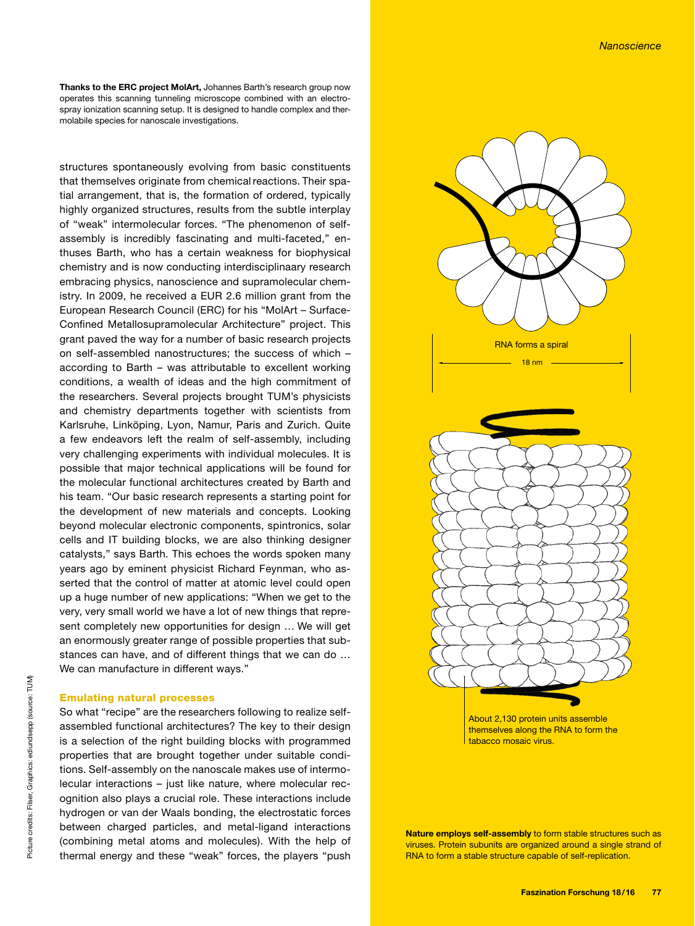Thanks to the ERC project MolArt, Johannes Barth's research group now operates this scanning tunneling microscope combined with an electrospray ionization scanning setup. It is designed to handle complex and thermolabile species for nanoscale investigations.

structures spontaneously evolving from basic constituents that themselves originate from chemical reactions. Their spatial arrangement, that is, the formation of ordered, typically highly organized structures, results from the subtle interplay of "weak" intermolecular forces. "The phenomenon of selfassembly is incredibly fascinating and multi-faceted," enthuses Barth, who has a certain weakness for biophysical chemistry and is now conducting interdisciplinaary research embracing physics, nanoscience and supramolecular chemistry. In 2009, he received a EUR 2.6 million grant from the European Research Council (ERC) for his "MolArt – Surface-Confined Metallosupramolecular Architecture" project. This grant paved the way for a number of basic research projects on self-assembled nanostructures; the success of which – according to Barth – was attributable to excellent working conditions, a wealth of ideas and the high commitment of the researchers. Several projects brought TUM's physicists and chemistry departments together with scientists from Karlsruhe, Linköping, Lyon, Namur, Paris and Zurich. Quite a few endeavors left the realm of self-assembly, including very challenging experiments with individual molecules. It is possible that major technical applications will be found for the molecular functional architectures created by Barth and his team. "Our basic research represents a starting point for the development of new materials and concepts. Looking beyond molecular electronic components, spintronics, solar cells and IT building blocks, we are also thinking designer catalysts," says Barth. This echoes the words spoken many years ago by eminent physicist Richard Feynman, who asserted that the control of matter at atomic level could open up a huge number of new applications: "When we get to the very, very small world we have a lot of new things that represent completely new opportunities for design … We will get an enormously greater range of possible properties that substances can have, and of different things that we can do … We can manufacture in different ways."

#### Emulating natural processes

So what "recipe" are the researchers following to realize selfassembled functional architectures? The key to their design is a selection of the right building blocks with programmed properties that are brought together under suitable conditions. Self-assembly on the nanoscale makes use of intermolecular interactions – just like nature, where molecular recognition also plays a crucial role. These interactions include hydrogen or van der Waals bonding, the electrostatic forces between charged particles, and metal-ligand interactions (combining metal atoms and molecules). With the help of thermal energy and these "weak" forces, the players "push



About 2,130 protein units assemble themselves along the RNA to form the tabacco mosaic virus.

Nature employs self-assembly to form stable structures such as viruses. Protein subunits are organized around a single strand of RNA to form a stable structure capable of self-replication.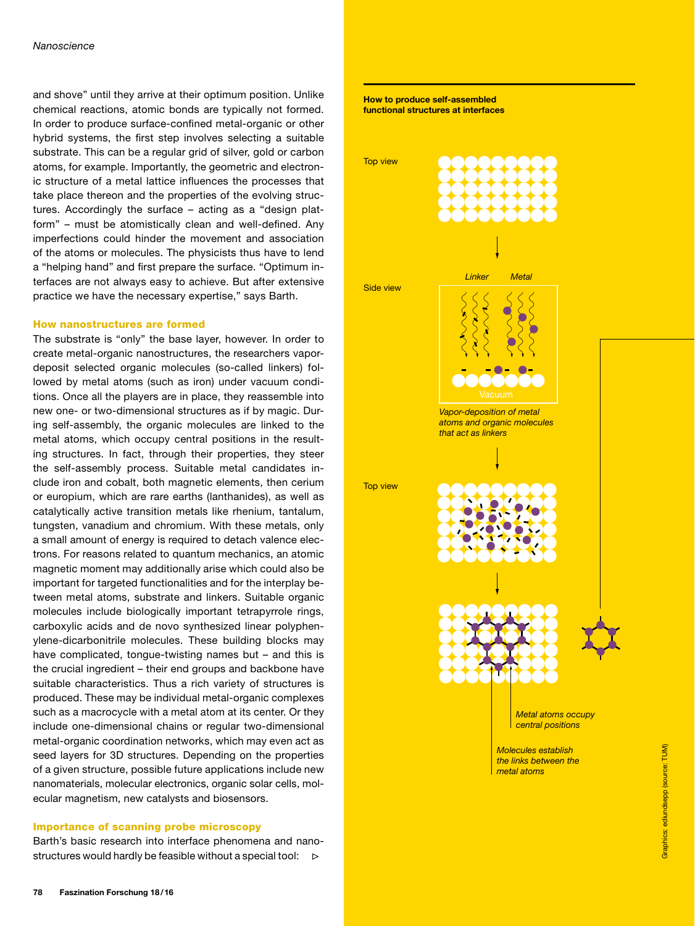and shove" until they arrive at their optimum position. Unlike chemical reactions, atomic bonds are typically not formed. In order to produce surface-confined metal-organic or other hybrid systems, the first step involves selecting a suitable substrate. This can be a regular grid of silver, gold or carbon atoms, for example. Importantly, the geometric and electronic structure of a metal lattice influences the processes that take place thereon and the properties of the evolving structures. Accordingly the surface – acting as a "design platform" – must be atomistically clean and well-defined. Any imperfections could hinder the movement and association of the atoms or molecules. The physicists thus have to lend a "helping hand" and first prepare the surface. "Optimum interfaces are not always easy to achieve. But after extensive practice we have the necessary expertise," says Barth.

#### How nanostructures are formed

The substrate is "only" the base layer, however. In order to create metal-organic nanostructures, the researchers vapordeposit selected organic molecules (so-called linkers) followed by metal atoms (such as iron) under vacuum conditions. Once all the players are in place, they reassemble into new one- or two-dimensional structures as if by magic. During self-assembly, the organic molecules are linked to the metal atoms, which occupy central positions in the resulting structures. In fact, through their properties, they steer the self-assembly process. Suitable metal candidates include iron and cobalt, both magnetic elements, then cerium or europium, which are rare earths (lanthanides), as well as catalytically active transition metals like rhenium, tantalum, tungsten, vanadium and chromium. With these metals, only a small amount of energy is required to detach valence electrons. For reasons related to quantum mechanics, an atomic magnetic moment may additionally arise which could also be important for targeted functionalities and for the interplay between metal atoms, substrate and linkers. Suitable organic molecules include biologically important tetrapyrrole rings, carboxylic acids and de novo synthesized linear polyphenylene-dicarbonitrile molecules. These building blocks may have complicated, tongue-twisting names but – and this is the crucial ingredient – their end groups and backbone have suitable characteristics. Thus a rich variety of structures is produced. These may be individual metal-organic complexes such as a macrocycle with a metal atom at its center. Or they include one-dimensional chains or regular two-dimensional metal-organic coordination networks, which may even act as seed layers for 3D structures. Depending on the properties of a given structure, possible future applications include new nanomaterials, molecular electronics, organic solar cells, molecular magnetism, new catalysts and biosensors.

#### Importance of scanning probe microscopy

Barth's basic research into interface phenomena and nanostructures would hardly be feasible without a special tool:  $\triangleright$ 

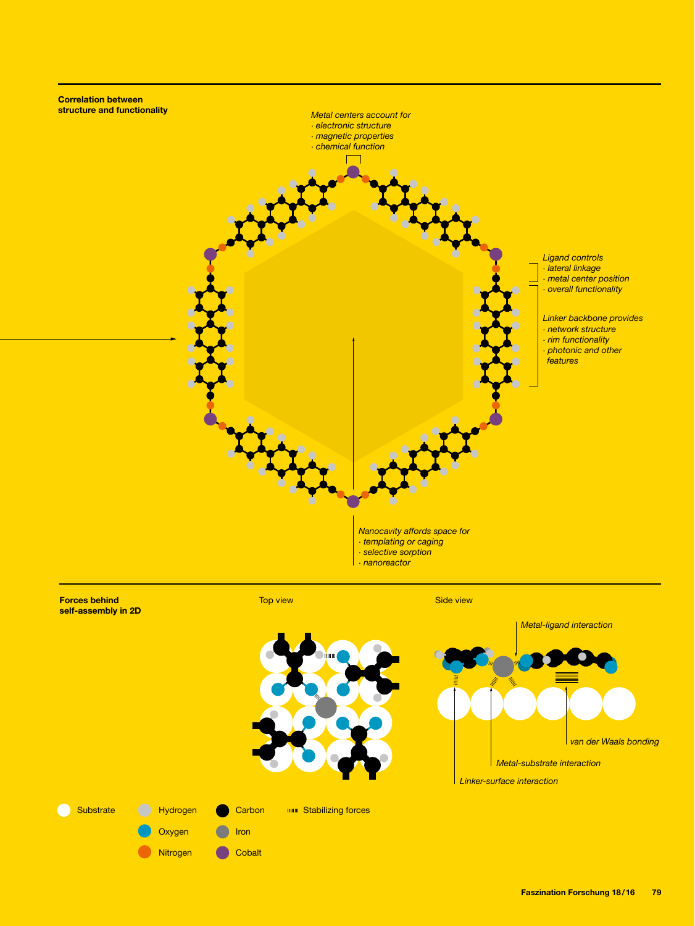

Faszination Forschung 18/16 79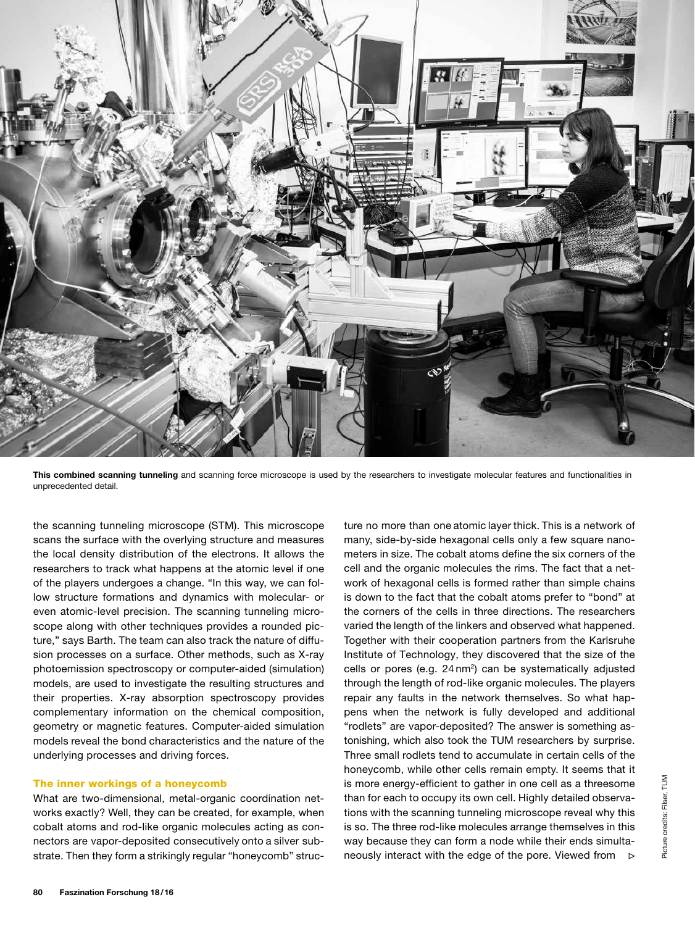

This combined scanning tunneling and scanning force microscope is used by the researchers to investigate molecular features and functionalities in unprecedented detail.

the scanning tunneling microscope (STM). This microscope scans the surface with the overlying structure and measures the local density distribution of the electrons. It allows the researchers to track what happens at the atomic level if one of the players undergoes a change. "In this way, we can follow structure formations and dynamics with molecular- or even atomic-level precision. The scanning tunneling microscope along with other techniques provides a rounded picture," says Barth. The team can also track the nature of diffusion processes on a surface. Other methods, such as X-ray photoemission spectroscopy or computer-aided (simulation) models, are used to investigate the resulting structures and their properties. X-ray absorption spectroscopy provides complementary information on the chemical composition, geometry or magnetic features. Computer-aided simulation models reveal the bond characteristics and the nature of the underlying processes and driving forces.

#### The inner workings of a honeycomb

What are two-dimensional, metal-organic coordination networks exactly? Well, they can be created, for example, when cobalt atoms and rod-like organic molecules acting as connectors are vapor-deposited consecutively onto a silver substrate. Then they form a strikingly regular "honeycomb" structure no more than one atomic layer thick. This is a network of many, side-by-side hexagonal cells only a few square nanometers in size. The cobalt atoms define the six corners of the cell and the organic molecules the rims. The fact that a network of hexagonal cells is formed rather than simple chains is down to the fact that the cobalt atoms prefer to "bond" at the corners of the cells in three directions. The researchers varied the length of the linkers and observed what happened. Together with their cooperation partners from the Karlsruhe Institute of Technology, they discovered that the size of the cells or pores (e.g.  $24 \text{ nm}^2$ ) can be systematically adjusted through the length of rod-like organic molecules. The players repair any faults in the network themselves. So what happens when the network is fully developed and additional "rodlets" are vapor-deposited? The answer is something astonishing, which also took the TUM researchers by surprise. Three small rodlets tend to accumulate in certain cells of the honeycomb, while other cells remain empty. It seems that it is more energy-efficient to gather in one cell as a threesome than for each to occupy its own cell. Highly detailed observations with the scanning tunneling microscope reveal why this is so. The three rod-like molecules arrange themselves in this way because they can form a node while their ends simultaneously interact with the edge of the pore. Viewed from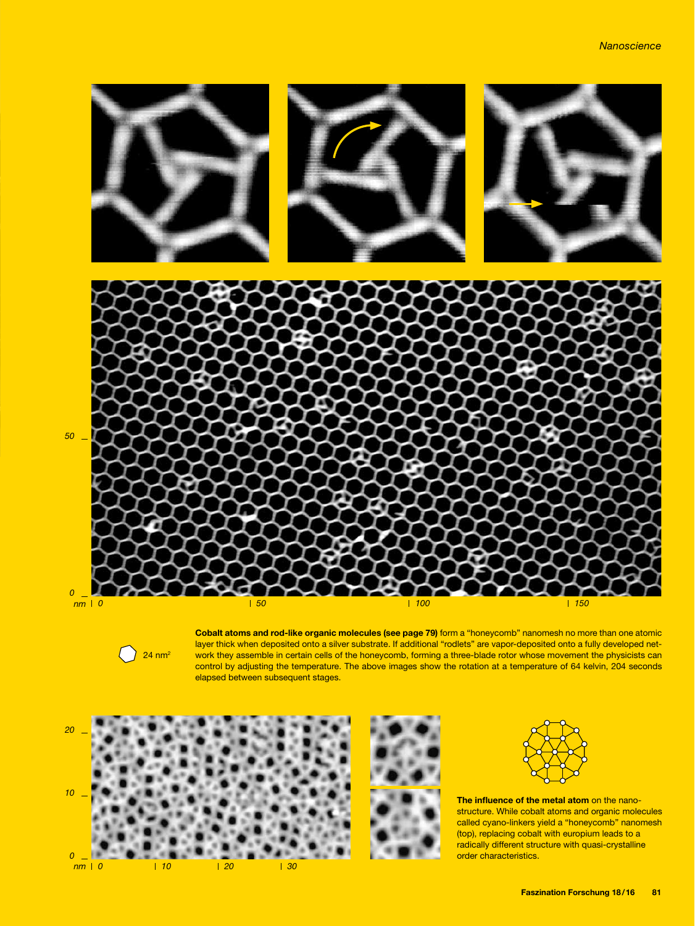

 $24$  nm<sup>2</sup>

Cobalt atoms and rod-like organic molecules (see page 79) form a "honeycomb" nanomesh no more than one atomic layer thick when deposited onto a silver substrate. If additional "rodlets" are vapor-deposited onto a fully developed network they assemble in certain cells of the honeycomb, forming a three-blade rotor whose movement the physicists can control by adjusting the temperature. The above images show the rotation at a temperature of 64 kelvin, 204 seconds elapsed between subsequent stages.







The influence of the metal atom on the nanostructure. While cobalt atoms and organic molecules called cyano-linkers yield a "honeycomb" nanomesh (top), replacing cobalt with europium leads to a radically different structure with quasi-crystalline order characteristics.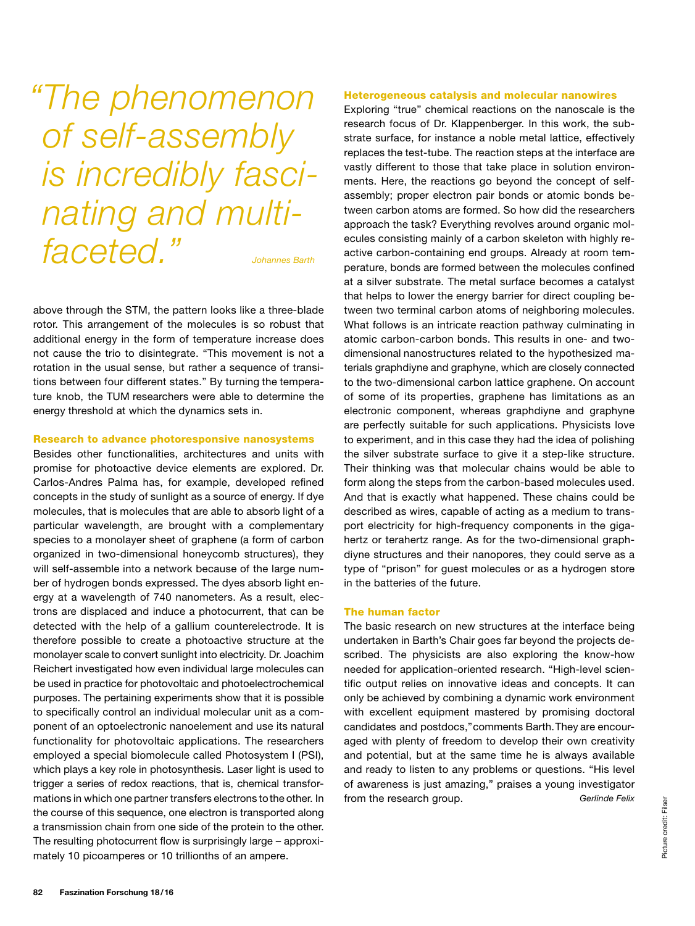*"The phenomenon of self-assembly is incredibly fascinating and multifaceted." Johannes Barth*

above through the STM, the pattern looks like a three-blade rotor. This arrangement of the molecules is so robust that additional energy in the form of temperature increase does not cause the trio to disintegrate. "This movement is not a rotation in the usual sense, but rather a sequence of transitions between four different states." By turning the temperature knob, the TUM researchers were able to determine the energy threshold at which the dynamics sets in.

#### Research to advance photoresponsive nanosystems

Besides other functionalities, architectures and units with promise for photoactive device elements are explored. Dr. Carlos-Andres Palma has, for example, developed refined concepts in the study of sunlight as a source of energy. If dye molecules, that is molecules that are able to absorb light of a particular wavelength, are brought with a complementary species to a monolayer sheet of graphene (a form of carbon organized in two-dimensional honeycomb structures), they will self-assemble into a network because of the large number of hydrogen bonds expressed. The dyes absorb light energy at a wavelength of 740 nanometers. As a result, electrons are displaced and induce a photocurrent, that can be detected with the help of a gallium counterelectrode. It is therefore possible to create a photoactive structure at the monolayer scale to convert sunlight into electricity. Dr. Joachim Reichert investigated how even individual large molecules can be used in practice for photovoltaic and photoelectrochemical purposes. The pertaining experiments show that it is possible to specifically control an individual molecular unit as a component of an optoelectronic nanoelement and use its natural functionality for photovoltaic applications. The researchers employed a special biomolecule called Photosystem I (PSI), which plays a key role in photosynthesis. Laser light is used to trigger a series of redox reactions, that is, chemical transformations in which one partner transfers electrons to the other. In the course of this sequence, one electron is transported along a transmission chain from one side of the protein to the other. The resulting photocurrent flow is surprisingly large – approximately 10 picoamperes or 10 trillionths of an ampere.

#### Heterogeneous catalysis and molecular nanowires

Exploring "true" chemical reactions on the nanoscale is the research focus of Dr. Klappenberger. In this work, the substrate surface, for instance a noble metal lattice, effectively replaces the test-tube. The reaction steps at the interface are vastly different to those that take place in solution environments. Here, the reactions go beyond the concept of selfassembly; proper electron pair bonds or atomic bonds between carbon atoms are formed. So how did the researchers approach the task? Everything revolves around organic molecules consisting mainly of a carbon skeleton with highly reactive carbon-containing end groups. Already at room temperature, bonds are formed between the molecules confined at a silver substrate. The metal surface becomes a catalyst that helps to lower the energy barrier for direct coupling between two terminal carbon atoms of neighboring molecules. What follows is an intricate reaction pathway culminating in atomic carbon-carbon bonds. This results in one- and twodimensional nanostructures related to the hypothesized materials graphdiyne and graphyne, which are closely connected to the two-dimensional carbon lattice graphene. On account of some of its properties, graphene has limitations as an electronic component, whereas graphdiyne and graphyne are perfectly suitable for such applications. Physicists love to experiment, and in this case they had the idea of polishing the silver substrate surface to give it a step-like structure. Their thinking was that molecular chains would be able to form along the steps from the carbon-based molecules used. And that is exactly what happened. These chains could be described as wires, capable of acting as a medium to transport electricity for high-frequency components in the gigahertz or terahertz range. As for the two-dimensional graphdiyne structures and their nanopores, they could serve as a type of "prison" for guest molecules or as a hydrogen store in the batteries of the future.

#### The human factor

The basic research on new structures at the interface being undertaken in Barth's Chair goes far beyond the projects described. The physicists are also exploring the know-how needed for application-oriented research. "High-level scientific output relies on innovative ideas and concepts. It can only be achieved by combining a dynamic work environment with excellent equipment mastered by promising doctoral candidates and postdocs," comments Barth. They are encouraged with plenty of freedom to develop their own creativity and potential, but at the same time he is always available and ready to listen to any problems or questions. "His level of awareness is just amazing," praises a young investigator from the research group. *Gerlinde Felix*